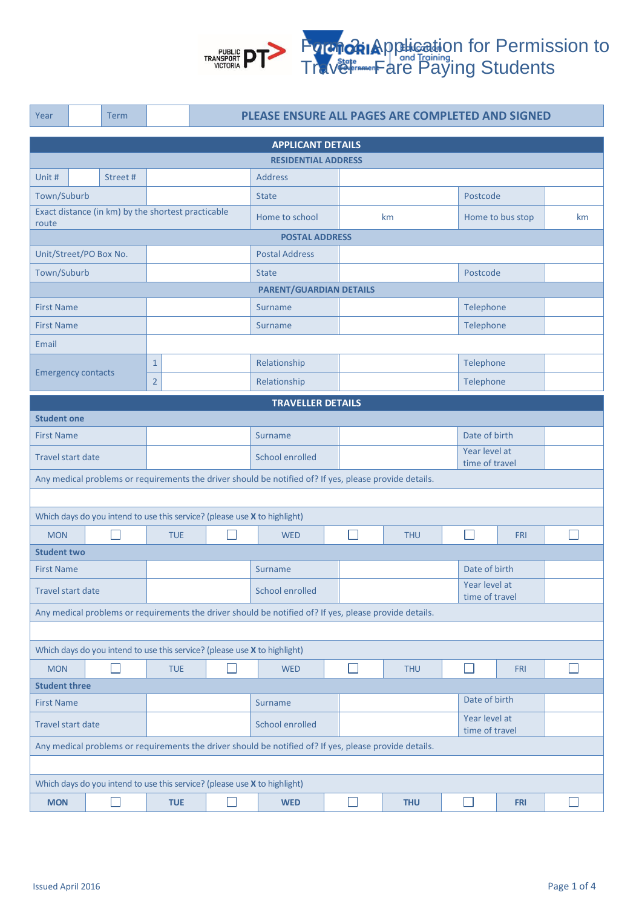

| Year                                                                                                   |                                                                                                        | <b>Term</b>                                        | PLEASE ENSURE ALL PAGES ARE COMPLETED AND SIGNED |            |                 |                                                                           |            |                                 |                |                  |                                 |  |  |
|--------------------------------------------------------------------------------------------------------|--------------------------------------------------------------------------------------------------------|----------------------------------------------------|--------------------------------------------------|------------|-----------------|---------------------------------------------------------------------------|------------|---------------------------------|----------------|------------------|---------------------------------|--|--|
| <b>APPLICANT DETAILS</b>                                                                               |                                                                                                        |                                                    |                                                  |            |                 |                                                                           |            |                                 |                |                  |                                 |  |  |
| <b>RESIDENTIAL ADDRESS</b>                                                                             |                                                                                                        |                                                    |                                                  |            |                 |                                                                           |            |                                 |                |                  |                                 |  |  |
| Unit #                                                                                                 |                                                                                                        | Street#                                            |                                                  |            |                 | <b>Address</b>                                                            |            |                                 |                |                  |                                 |  |  |
| Town/Suburb                                                                                            |                                                                                                        |                                                    |                                                  |            |                 | <b>State</b>                                                              |            |                                 |                |                  | Postcode                        |  |  |
|                                                                                                        |                                                                                                        | Exact distance (in km) by the shortest practicable |                                                  |            | Home to school  |                                                                           |            | km                              |                | Home to bus stop | km                              |  |  |
| route                                                                                                  | <b>POSTAL ADDRESS</b>                                                                                  |                                                    |                                                  |            |                 |                                                                           |            |                                 |                |                  |                                 |  |  |
| Unit/Street/PO Box No.                                                                                 |                                                                                                        |                                                    |                                                  |            |                 | <b>Postal Address</b>                                                     |            |                                 |                |                  |                                 |  |  |
| Town/Suburb                                                                                            |                                                                                                        |                                                    |                                                  |            |                 | <b>State</b>                                                              |            |                                 |                |                  |                                 |  |  |
|                                                                                                        | Postcode<br><b>PARENT/GUARDIAN DETAILS</b>                                                             |                                                    |                                                  |            |                 |                                                                           |            |                                 |                |                  |                                 |  |  |
| <b>First Name</b>                                                                                      |                                                                                                        |                                                    |                                                  |            |                 | Surname                                                                   |            | Telephone                       |                |                  |                                 |  |  |
| <b>First Name</b>                                                                                      |                                                                                                        |                                                    |                                                  |            |                 | Surname                                                                   |            | Telephone                       |                |                  |                                 |  |  |
| Email                                                                                                  |                                                                                                        |                                                    |                                                  |            |                 |                                                                           |            |                                 |                |                  |                                 |  |  |
|                                                                                                        |                                                                                                        |                                                    | $\mathbf{1}$                                     |            |                 | Relationship                                                              |            |                                 |                | Telephone        |                                 |  |  |
| <b>Emergency contacts</b>                                                                              |                                                                                                        |                                                    | $\overline{2}$                                   |            |                 | Relationship                                                              |            |                                 |                | Telephone        |                                 |  |  |
|                                                                                                        |                                                                                                        |                                                    |                                                  |            |                 | <b>TRAVELLER DETAILS</b>                                                  |            |                                 |                |                  |                                 |  |  |
| <b>Student one</b>                                                                                     |                                                                                                        |                                                    |                                                  |            |                 |                                                                           |            |                                 |                |                  |                                 |  |  |
| <b>First Name</b>                                                                                      |                                                                                                        |                                                    |                                                  | Surname    |                 |                                                                           |            |                                 | Date of birth  |                  |                                 |  |  |
| <b>Travel start date</b>                                                                               |                                                                                                        |                                                    |                                                  |            |                 | School enrolled                                                           |            | Year level at                   | time of travel |                  |                                 |  |  |
|                                                                                                        | Any medical problems or requirements the driver should be notified of? If yes, please provide details. |                                                    |                                                  |            |                 |                                                                           |            |                                 |                |                  |                                 |  |  |
|                                                                                                        |                                                                                                        |                                                    |                                                  |            |                 |                                                                           |            |                                 |                |                  |                                 |  |  |
|                                                                                                        |                                                                                                        |                                                    |                                                  |            |                 | Which days do you intend to use this service? (please use X to highlight) |            |                                 |                |                  |                                 |  |  |
| <b>MON</b>                                                                                             |                                                                                                        | <b>TUE</b>                                         |                                                  |            | <b>WED</b>      |                                                                           |            | <b>THU</b>                      |                | <b>FRI</b>       |                                 |  |  |
|                                                                                                        | <b>Student two</b>                                                                                     |                                                    |                                                  |            |                 |                                                                           |            |                                 |                |                  |                                 |  |  |
| <b>First Name</b>                                                                                      |                                                                                                        |                                                    |                                                  |            |                 | Surname                                                                   |            |                                 |                |                  | Date of birth                   |  |  |
|                                                                                                        | <b>Travel start date</b>                                                                               |                                                    |                                                  |            |                 | School enrolled                                                           |            |                                 |                |                  | Year level at<br>time of travel |  |  |
| Any medical problems or requirements the driver should be notified of? If yes, please provide details. |                                                                                                        |                                                    |                                                  |            |                 |                                                                           |            |                                 |                |                  |                                 |  |  |
|                                                                                                        |                                                                                                        |                                                    |                                                  |            |                 |                                                                           |            |                                 |                |                  |                                 |  |  |
| Which days do you intend to use this service? (please use X to highlight)                              |                                                                                                        |                                                    |                                                  |            |                 |                                                                           |            |                                 |                |                  |                                 |  |  |
| <b>MON</b>                                                                                             |                                                                                                        | $\mathbf{L}$<br><b>TUE</b>                         |                                                  | <b>WED</b> |                 | $\mathbf{I}$                                                              | <b>THU</b> | n.                              | <b>FRI</b>     | П                |                                 |  |  |
| <b>Student three</b>                                                                                   |                                                                                                        |                                                    |                                                  |            |                 |                                                                           |            |                                 |                |                  |                                 |  |  |
| <b>First Name</b>                                                                                      |                                                                                                        |                                                    |                                                  |            |                 | Surname                                                                   |            |                                 |                |                  | Date of birth                   |  |  |
| <b>Travel start date</b>                                                                               |                                                                                                        |                                                    |                                                  |            | School enrolled |                                                                           |            | Year level at<br>time of travel |                |                  |                                 |  |  |
| Any medical problems or requirements the driver should be notified of? If yes, please provide details. |                                                                                                        |                                                    |                                                  |            |                 |                                                                           |            |                                 |                |                  |                                 |  |  |
|                                                                                                        |                                                                                                        |                                                    |                                                  |            |                 |                                                                           |            |                                 |                |                  |                                 |  |  |
| Which days do you intend to use this service? (please use X to highlight)                              |                                                                                                        |                                                    |                                                  |            |                 |                                                                           |            |                                 |                |                  |                                 |  |  |
| <b>MON</b>                                                                                             |                                                                                                        | $\mathbf{I}$                                       | <b>TUE</b>                                       |            | ×.              | <b>WED</b>                                                                |            |                                 | <b>THU</b>     |                  | <b>FRI</b>                      |  |  |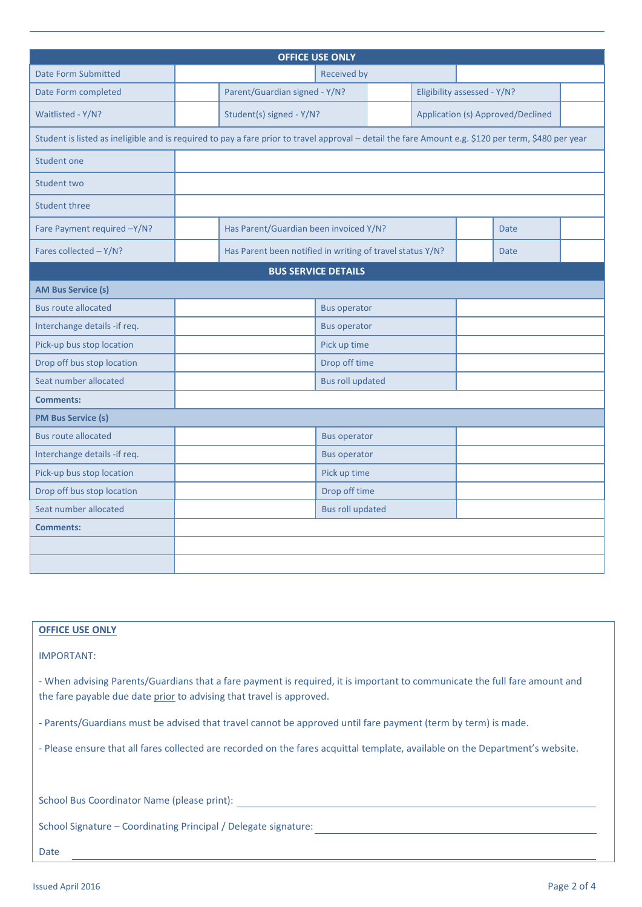| <b>OFFICE USE ONLY</b>                                                                                                                              |             |                                                           |                            |                                   |  |  |             |  |
|-----------------------------------------------------------------------------------------------------------------------------------------------------|-------------|-----------------------------------------------------------|----------------------------|-----------------------------------|--|--|-------------|--|
| <b>Date Form Submitted</b>                                                                                                                          | Received by |                                                           |                            |                                   |  |  |             |  |
| Date Form completed                                                                                                                                 |             | Parent/Guardian signed - Y/N?                             |                            | Eligibility assessed - Y/N?       |  |  |             |  |
| Waitlisted - Y/N?                                                                                                                                   |             | Student(s) signed - Y/N?                                  |                            | Application (s) Approved/Declined |  |  |             |  |
| Student is listed as ineligible and is required to pay a fare prior to travel approval - detail the fare Amount e.g. \$120 per term, \$480 per year |             |                                                           |                            |                                   |  |  |             |  |
| Student one                                                                                                                                         |             |                                                           |                            |                                   |  |  |             |  |
| Student two                                                                                                                                         |             |                                                           |                            |                                   |  |  |             |  |
| <b>Student three</b>                                                                                                                                |             |                                                           |                            |                                   |  |  |             |  |
| Fare Payment required -Y/N?                                                                                                                         |             | Has Parent/Guardian been invoiced Y/N?                    |                            |                                   |  |  | <b>Date</b> |  |
| Fares collected - Y/N?                                                                                                                              |             | Has Parent been notified in writing of travel status Y/N? |                            |                                   |  |  | <b>Date</b> |  |
|                                                                                                                                                     |             |                                                           | <b>BUS SERVICE DETAILS</b> |                                   |  |  |             |  |
| <b>AM Bus Service (s)</b>                                                                                                                           |             |                                                           |                            |                                   |  |  |             |  |
| <b>Bus route allocated</b>                                                                                                                          |             |                                                           | <b>Bus operator</b>        |                                   |  |  |             |  |
| Interchange details -if req.                                                                                                                        |             |                                                           | <b>Bus operator</b>        |                                   |  |  |             |  |
| Pick-up bus stop location                                                                                                                           |             |                                                           | Pick up time               |                                   |  |  |             |  |
| Drop off bus stop location                                                                                                                          |             | Drop off time                                             |                            |                                   |  |  |             |  |
| Seat number allocated                                                                                                                               |             | <b>Bus roll updated</b>                                   |                            |                                   |  |  |             |  |
| <b>Comments:</b>                                                                                                                                    |             |                                                           |                            |                                   |  |  |             |  |
| <b>PM Bus Service (s)</b>                                                                                                                           |             |                                                           |                            |                                   |  |  |             |  |
| <b>Bus route allocated</b>                                                                                                                          |             |                                                           | <b>Bus operator</b>        |                                   |  |  |             |  |
| Interchange details -if req.                                                                                                                        |             |                                                           | <b>Bus operator</b>        |                                   |  |  |             |  |
| Pick-up bus stop location                                                                                                                           |             |                                                           | Pick up time               |                                   |  |  |             |  |
| Drop off bus stop location                                                                                                                          |             |                                                           | Drop off time              |                                   |  |  |             |  |
| Seat number allocated                                                                                                                               |             |                                                           | <b>Bus roll updated</b>    |                                   |  |  |             |  |
| <b>Comments:</b>                                                                                                                                    |             |                                                           |                            |                                   |  |  |             |  |
|                                                                                                                                                     |             |                                                           |                            |                                   |  |  |             |  |
|                                                                                                                                                     |             |                                                           |                            |                                   |  |  |             |  |

# **OFFICE USE ONLY**

IMPORTANT:

- When advising Parents/Guardians that a fare payment is required, it is important to communicate the full fare amount and the fare payable due date prior to advising that travel is approved.

- Parents/Guardians must be advised that travel cannot be approved until fare payment (term by term) is made.

- Please ensure that all fares collected are recorded on the fares acquittal template, available on the Department's website.

|  | School Bus Coordinator Name (please print): |  |  |
|--|---------------------------------------------|--|--|
|  |                                             |  |  |

School Signature – Coordinating Principal / Delegate signature:

Date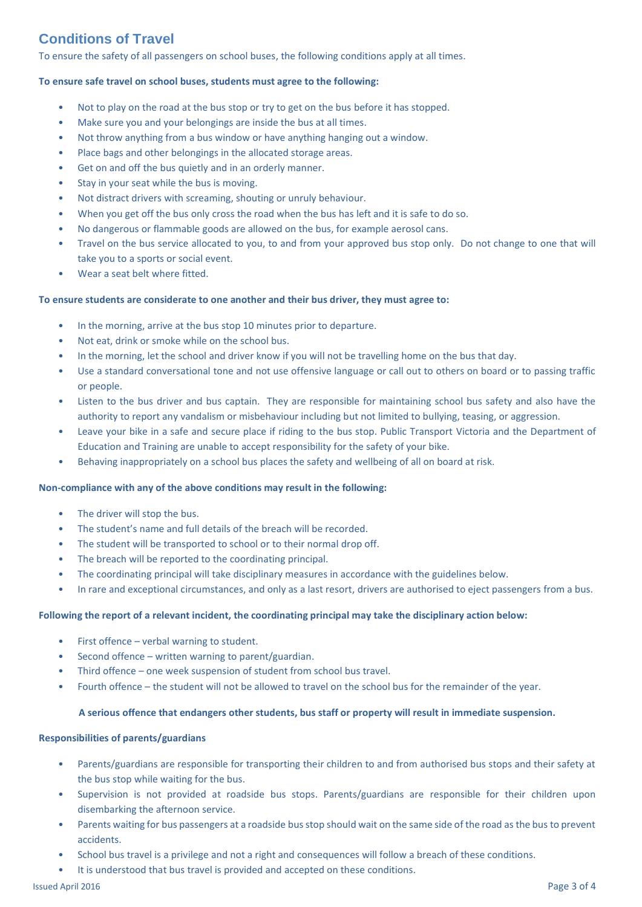# **Conditions of Travel**

To ensure the safety of all passengers on school buses, the following conditions apply at all times.

## **To ensure safe travel on school buses, students must agree to the following:**

- Not to play on the road at the bus stop or try to get on the bus before it has stopped.
- Make sure you and your belongings are inside the bus at all times.
- Not throw anything from a bus window or have anything hanging out a window.
- Place bags and other belongings in the allocated storage areas.
- Get on and off the bus quietly and in an orderly manner.
- Stay in your seat while the bus is moving.
- Not distract drivers with screaming, shouting or unruly behaviour.
- When you get off the bus only cross the road when the bus has left and it is safe to do so.
- No dangerous or flammable goods are allowed on the bus, for example aerosol cans.
- Travel on the bus service allocated to you, to and from your approved bus stop only. Do not change to one that will take you to a sports or social event.
- Wear a seat belt where fitted.

#### **To ensure students are considerate to one another and their bus driver, they must agree to:**

- In the morning, arrive at the bus stop 10 minutes prior to departure.
- Not eat, drink or smoke while on the school bus.
- In the morning, let the school and driver know if you will not be travelling home on the bus that day.
- Use a standard conversational tone and not use offensive language or call out to others on board or to passing traffic or people.
- Listen to the bus driver and bus captain. They are responsible for maintaining school bus safety and also have the authority to report any vandalism or misbehaviour including but not limited to bullying, teasing, or aggression.
- Leave your bike in a safe and secure place if riding to the bus stop. Public Transport Victoria and the Department of Education and Training are unable to accept responsibility for the safety of your bike.
- Behaving inappropriately on a school bus places the safety and wellbeing of all on board at risk.

#### **Non-compliance with any of the above conditions may result in the following:**

- The driver will stop the bus.
- The student's name and full details of the breach will be recorded.
- The student will be transported to school or to their normal drop off.
- The breach will be reported to the coordinating principal.
- The coordinating principal will take disciplinary measures in accordance with the guidelines below.
- In rare and exceptional circumstances, and only as a last resort, drivers are authorised to eject passengers from a bus.

#### **Following the report of a relevant incident, the coordinating principal may take the disciplinary action below:**

- First offence verbal warning to student.
- Second offence written warning to parent/guardian.
- Third offence one week suspension of student from school bus travel.
- Fourth offence the student will not be allowed to travel on the school bus for the remainder of the year.

#### **A serious offence that endangers other students, bus staff or property will result in immediate suspension.**

## **Responsibilities of parents/guardians**

- Parents/guardians are responsible for transporting their children to and from authorised bus stops and their safety at the bus stop while waiting for the bus.
- Supervision is not provided at roadside bus stops. Parents/guardians are responsible for their children upon disembarking the afternoon service.
- Parents waiting for bus passengers at a roadside bus stop should wait on the same side of the road as the bus to prevent accidents.
- School bus travel is a privilege and not a right and consequences will follow a breach of these conditions.
- It is understood that bus travel is provided and accepted on these conditions.